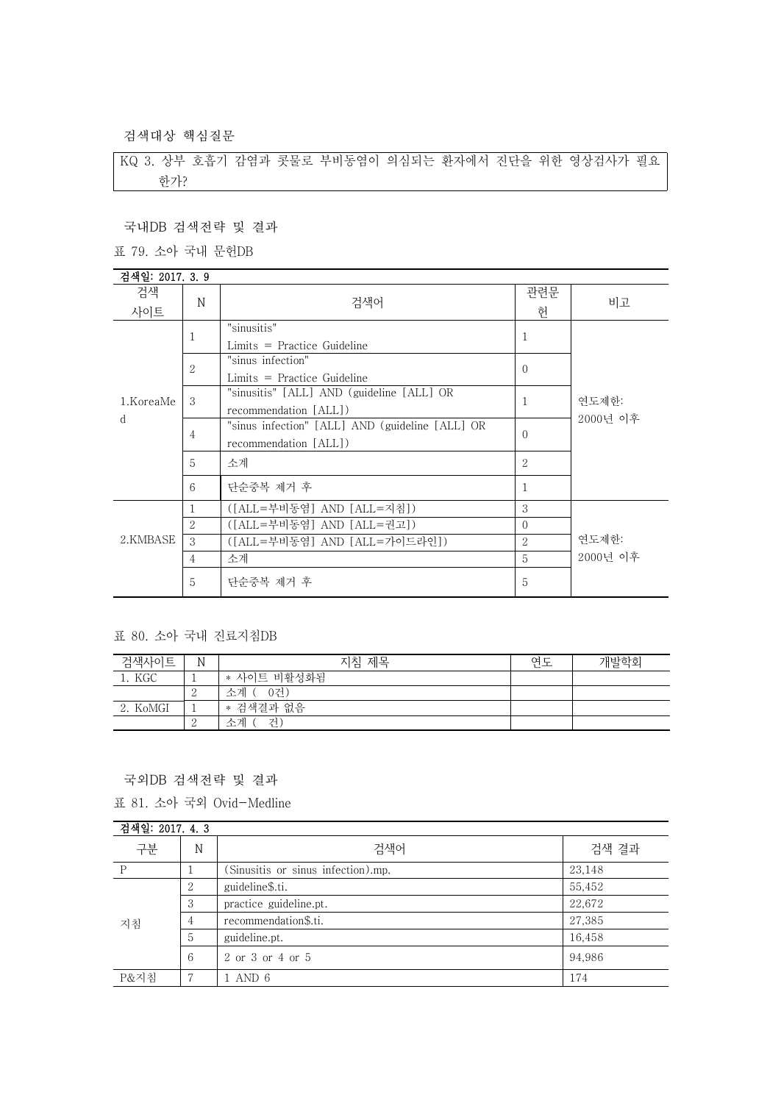검색대상 핵심질문

KQ 3. 상부 호흡기 감염과 콧물로 부비동염이 의심되는 환자에서 진단을 위한 영상검사가 필요 한가?

## 국내DB 검색전략 및 결과

표 79. 소아 국내 문헌DB

| 검색일: 2017. 3. 9 |                |                                                 |               |                   |
|-----------------|----------------|-------------------------------------------------|---------------|-------------------|
| 검색              | N              | 검색어                                             | 관련문           | 비고                |
| 사이트             |                |                                                 | 헌             |                   |
|                 | 1              | "sinusitis"                                     | 1             |                   |
|                 |                | $Limits = Practice Guide$                       |               | 연도제한:<br>2000년 이후 |
|                 | $\overline{2}$ | "sinus infection"                               | $\Omega$      |                   |
|                 |                | $Limits = Practice Guide$                       |               |                   |
| 1.KoreaMe<br>d  | 3              | "sinusitis" [ALL] AND (guideline [ALL] OR       | 1             |                   |
|                 |                | recommendation [ALL])                           |               |                   |
|                 | 4              | "sinus infection" [ALL] AND (guideline [ALL] OR | $\Omega$      |                   |
|                 |                | recommendation [ALL])                           |               |                   |
|                 | 5              | 소계                                              | 2             |                   |
|                 | 6              | 단순중복 제거 후                                       | 1             |                   |
| 2.KMBASE        | 1              | ([ALL=부비동염] AND [ALL=지침])                       | 3             |                   |
|                 | 2              | ([ALL=부비동염] AND [ALL=권고])                       | $\Omega$      |                   |
|                 | 3              | ([ALL=부비동염] AND [ALL=가이드라인])                    | $\mathcal{L}$ | 연도제한:             |
|                 | $\overline{4}$ | 소계                                              | 5             | 2000년 이후          |
|                 | 5              | 단순중복 제거 후                                       | 5             |                   |

## 표 80. 소아 국내 진료지침DB

| 검색사이트    | N | 지침 제목       | 연도 | 개발학회 |
|----------|---|-------------|----|------|
| KGC      |   | * 사이트 비활성화됨 |    |      |
|          | ↵ | -0건<br>소계 ( |    |      |
| 2. KoMGI |   | * 검색결과 없음   |    |      |
|          | ↵ | 수계<br>거     |    |      |

국외DB 검색전략 및 결과

표 81. 소아 국외 Ovid-Medline

| 검색일: 2017. 4. 3 |   |                                    |        |
|-----------------|---|------------------------------------|--------|
| 구분              | N | 검색어                                | 검색 결과  |
| P               |   | (Sinusitis or sinus infection).mp. | 23,148 |
| 지침              | 2 | guideline\$.ti.                    | 55,452 |
|                 | 3 | practice guideline.pt.             | 22,672 |
|                 | 4 | recommendation\$.ti.               | 27,385 |
|                 | 5 | guideline.pt.                      | 16,458 |
|                 | 6 | 2 or 3 or 4 or 5                   | 94,986 |
| P&지침            |   | . AND 6                            | 174    |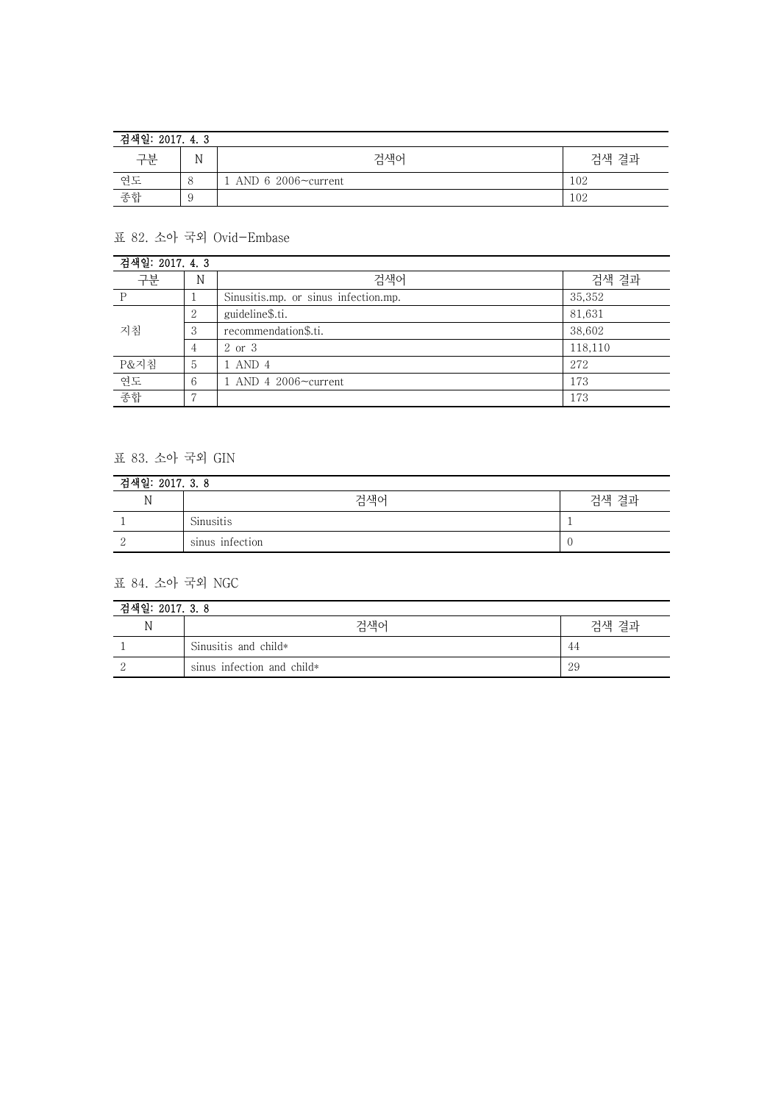| 검색일: 2017. 4. 3 |   |                             |       |  |
|-----------------|---|-----------------------------|-------|--|
| 구분              | N | 검색어                         | 검색 결과 |  |
| 연도              |   | . AND 6 2006 $\sim$ current | 102   |  |
| 종합              |   |                             | 102   |  |

표 82. 소아 국외 Ovid-Embase

| 검색일: 2017. 4.3 |                |                                      |         |
|----------------|----------------|--------------------------------------|---------|
| 구분             | N              | 검색어                                  | 검색 결과   |
| D              |                | Sinusitis.mp. or sinus infection.mp. | 35,352  |
| 지침             | 2              | guideline\$.ti.                      | 81,631  |
|                | 3              | recommendation\$.ti.                 | 38,602  |
|                | $\overline{4}$ | 2 or 3                               | 118,110 |
| P&지침           | 5              | 1 AND 4                              | 272     |
| 연도             | 6              | 1 AND 4 2006 $\sim$ current          | 173     |
| 종합             |                |                                      | 173     |

## 표 83. 소아 국외 GIN

| 검색일: 2017. 3.8 |                 |       |  |
|----------------|-----------------|-------|--|
| N              | 검색어             | 검색 결과 |  |
|                | Sinusitis       |       |  |
|                | sinus infection |       |  |

표 84. 소아 국외 NGC

| 검색일: 2017. 3. 8 |                            |       |  |
|-----------------|----------------------------|-------|--|
| N               | 검색어                        | 검색 결과 |  |
|                 | Sinusitis and child*       | 44    |  |
|                 | sinus infection and child* | 29    |  |